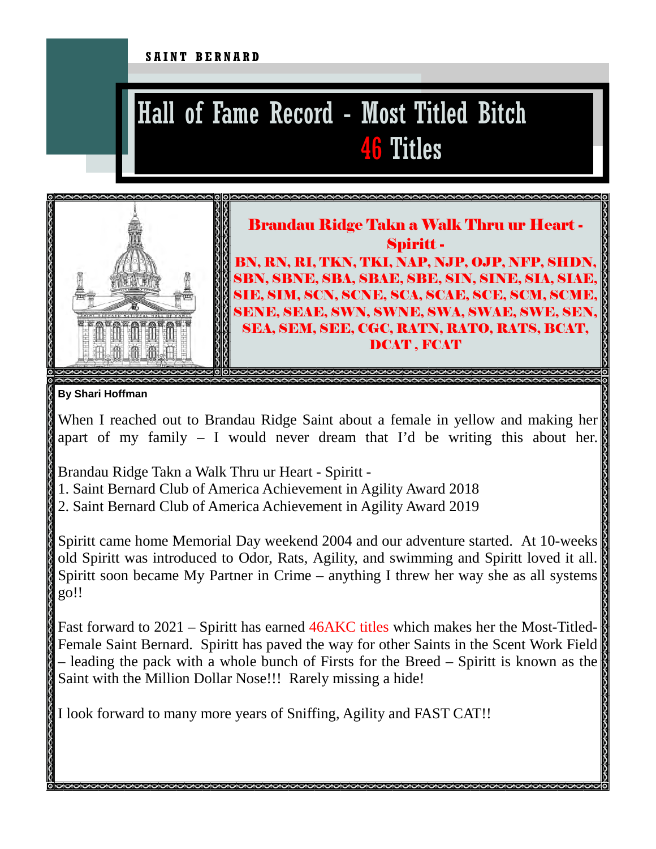## Hall of Fame Record - Most Titled Bitch 46 Titles



Brandau Ridge Takn a Walk Thru ur Heart - Spiritt - BN, RN, RI, TKN, TKI, NAP, NJP, OJP, NFP, SH SBN, SBNE, SBA, SBAE, SBE, SIN, SINE, SIA, SIAE, SIE, SIM, SCN, SCNE, SCA, SCAE, SCE, SCM, SCME, SENE, SEAE, SWN, SWNE, SWA, SWAE, SWE, SEN, SEA, SEM, SEE, CGC, RATN, RATO, RATS, BCAT, DCAT. FCAT

## **By Shari Hoffman**

When I reached out to Brandau Ridge Saint about a female in yellow and making her apart of my family – I would never dream that I'd be writing this about her.

Brandau Ridge Takn a Walk Thru ur Heart - Spiritt -

- 1. Saint Bernard Club of America Achievement in Agility Award 2018
- 2. Saint Bernard Club of America Achievement in Agility Award 2019

Spiritt came home Memorial Day weekend 2004 and our adventure started. At 10-weeks old Spiritt was introduced to Odor, Rats, Agility, and swimming and Spiritt loved it all. Spiritt soon became My Partner in Crime – anything I threw her way she as all systems go!!

Fast forward to 2021 – Spiritt has earned 46AKC titles which makes her the Most-Titled-Female Saint Bernard. Spiritt has paved the way for other Saints in the Scent Work Field – leading the pack with a whole bunch of Firsts for the Breed – Spiritt is known as the Saint with the Million Dollar Nose!!! Rarely missing a hide!

I look forward to many more years of Sniffing, Agility and FAST CAT!!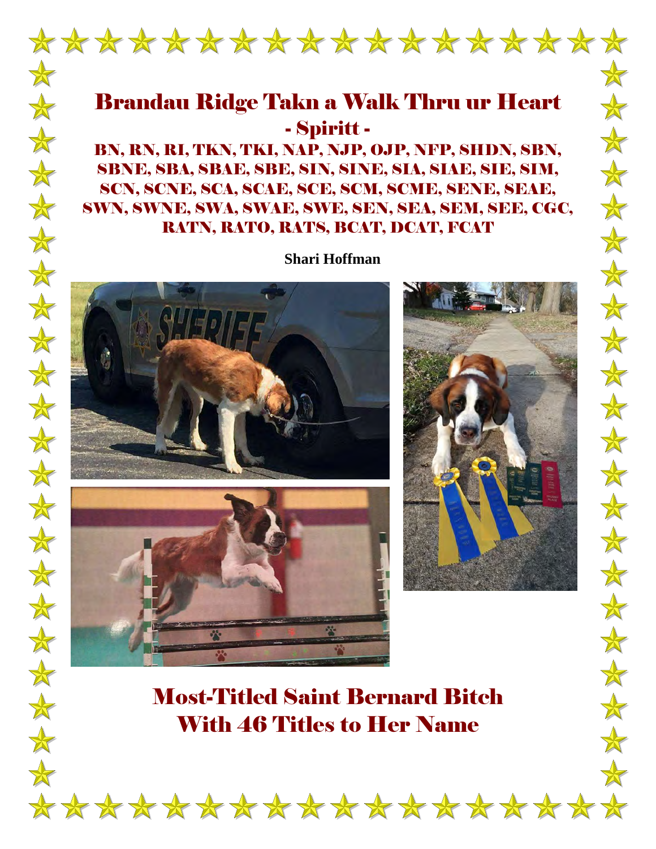

## **Most-Titled Saint Bernard Bitch With 46 Titles to Her Name**